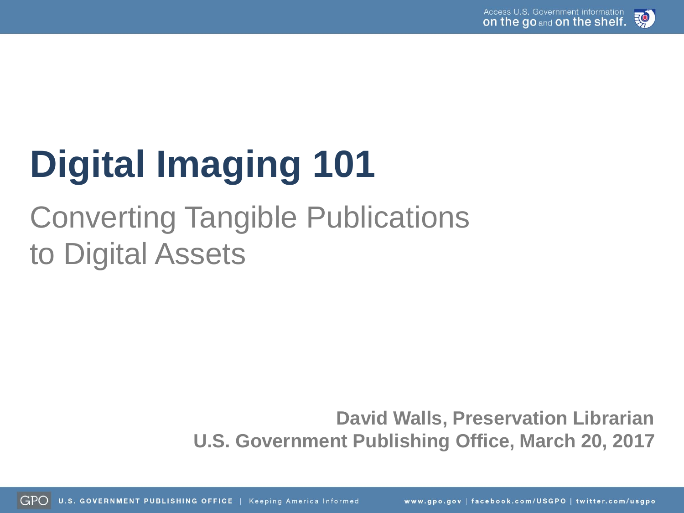

# **Digital Imaging 101**

## Converting Tangible Publications to Digital Assets

**David Walls, Preservation Librarian U.S. Government Publishing Office, March 20, 2017**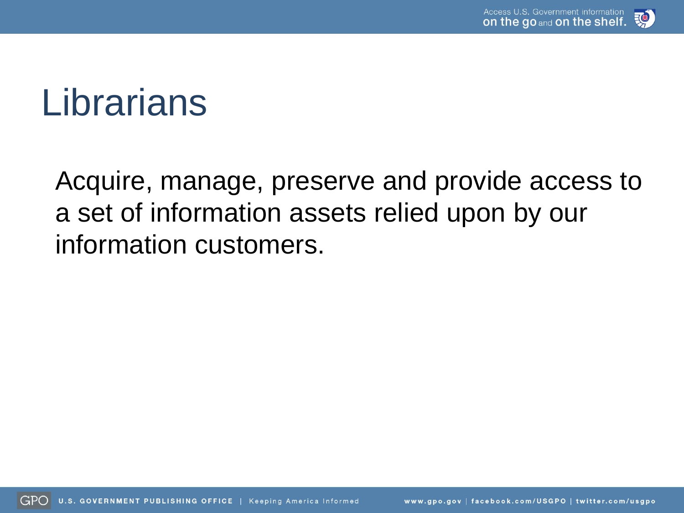

## Librarians

Acquire, manage, preserve and provide access to a set of information assets relied upon by our information customers.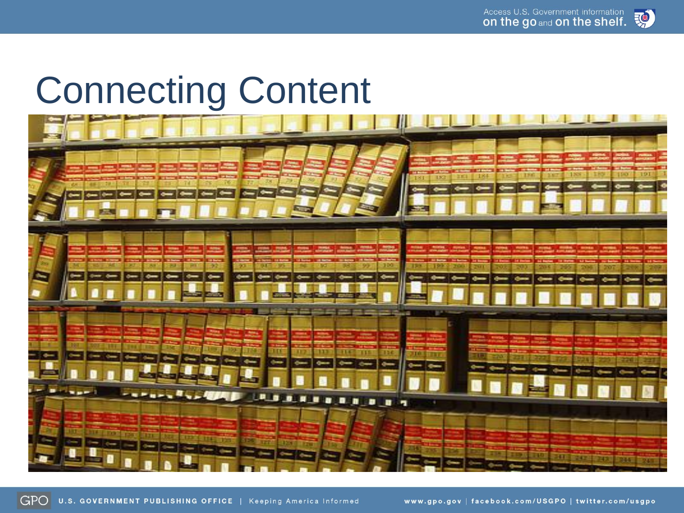

## Connecting Content

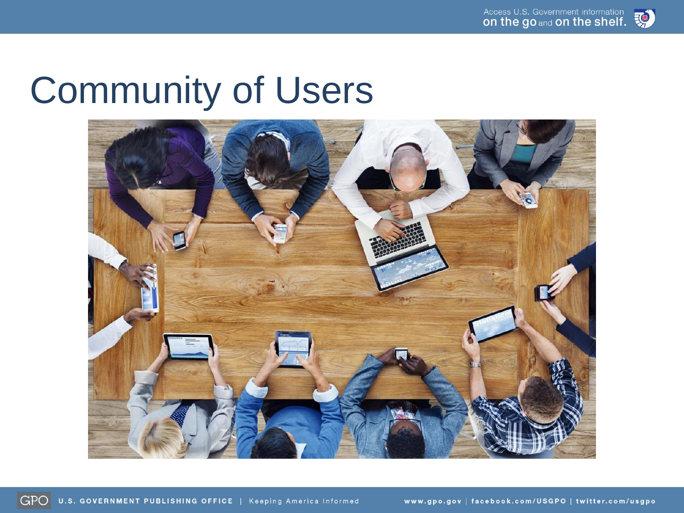

## Community of Users

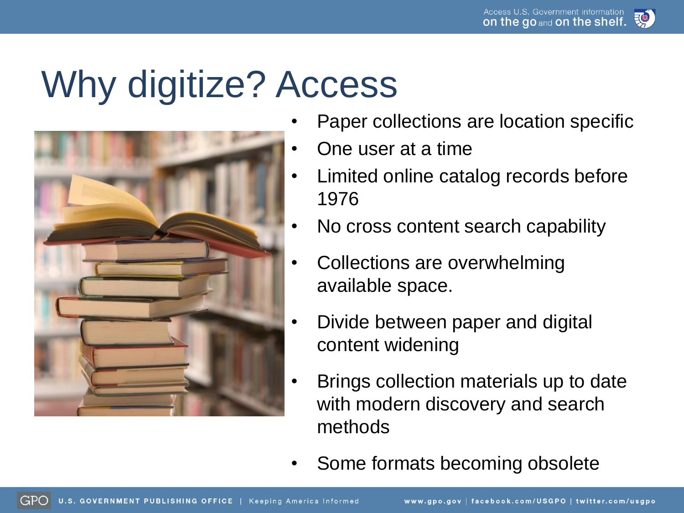## Why digitize? Access



- Paper collections are location specific
- One user at a time
- Limited online catalog records before 1976
- No cross content search capability
- Collections are overwhelming available space.
- Divide between paper and digital content widening
- Brings collection materials up to date with modern discovery and search methods
- Some formats becoming obsolete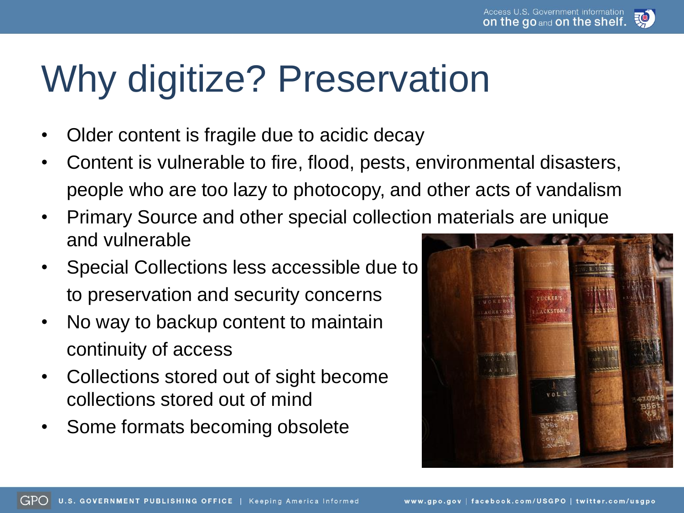

## Why digitize? Preservation

- Older content is fragile due to acidic decay
- Content is vulnerable to fire, flood, pests, environmental disasters, people who are too lazy to photocopy, and other acts of vandalism
- Primary Source and other special collection materials are unique and vulnerable
- Special Collections less accessible due to to preservation and security concerns
- No way to backup content to maintain continuity of access
- Collections stored out of sight become collections stored out of mind
- Some formats becoming obsolete

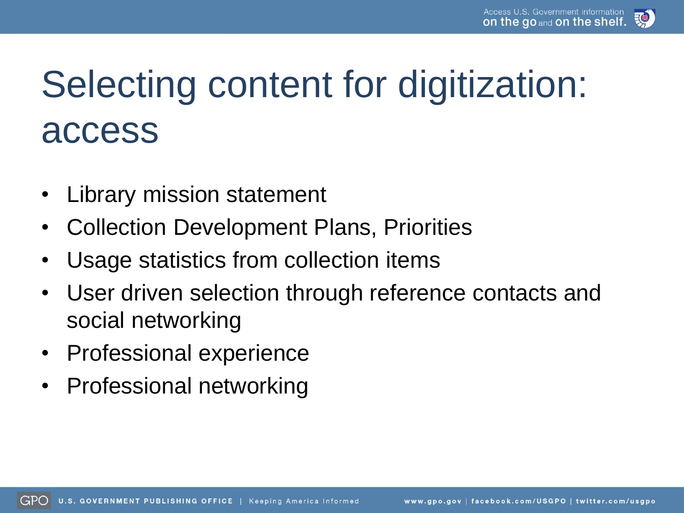![](_page_6_Picture_1.jpeg)

## Selecting content for digitization: access

- Library mission statement
- Collection Development Plans, Priorities
- Usage statistics from collection items
- User driven selection through reference contacts and social networking
- Professional experience
- Professional networking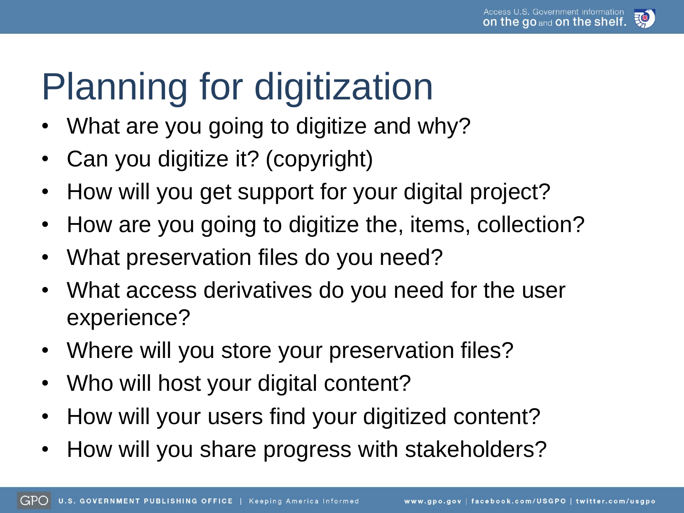![](_page_7_Picture_1.jpeg)

# Planning for digitization

- What are you going to digitize and why?
- Can you digitize it? (copyright)
- How will you get support for your digital project?
- How are you going to digitize the, items, collection?
- What preservation files do you need?
- What access derivatives do you need for the user experience?
- Where will you store your preservation files?
- Who will host your digital content?
- How will your users find your digitized content?
- How will you share progress with stakeholders?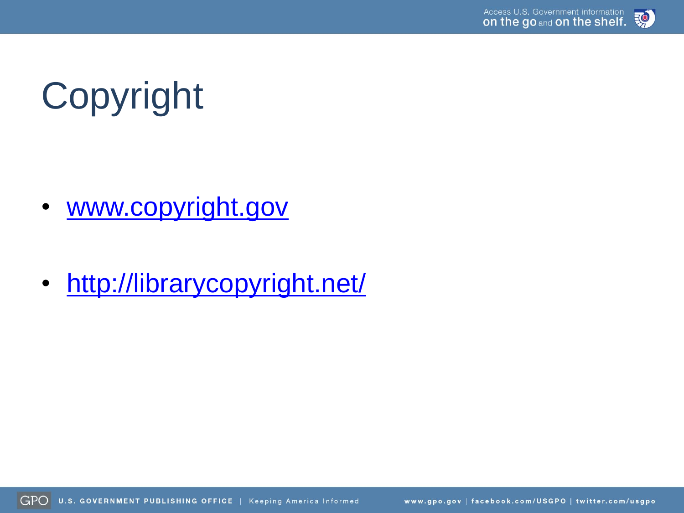![](_page_8_Picture_1.jpeg)

# Copyright

- [www.copyright.gov](http://www.copyright.gov/)
- <http://librarycopyright.net/>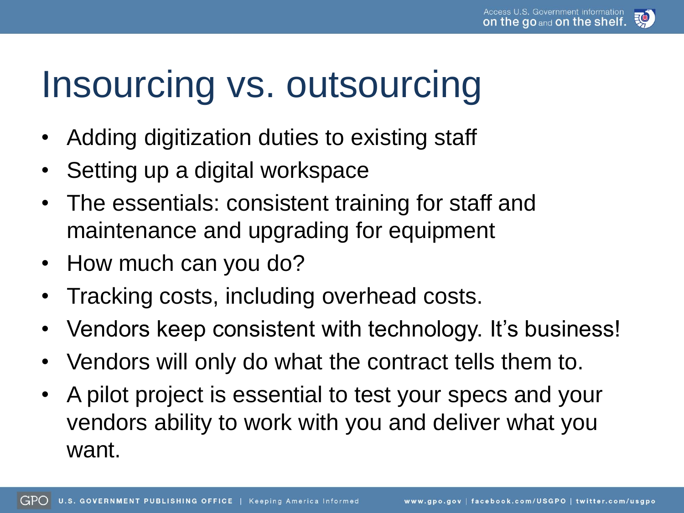![](_page_9_Picture_1.jpeg)

## Insourcing vs. outsourcing

- Adding digitization duties to existing staff
- Setting up a digital workspace
- The essentials: consistent training for staff and maintenance and upgrading for equipment
- How much can you do?
- Tracking costs, including overhead costs.
- Vendors keep consistent with technology. It's business!
- Vendors will only do what the contract tells them to.
- A pilot project is essential to test your specs and your vendors ability to work with you and deliver what you want.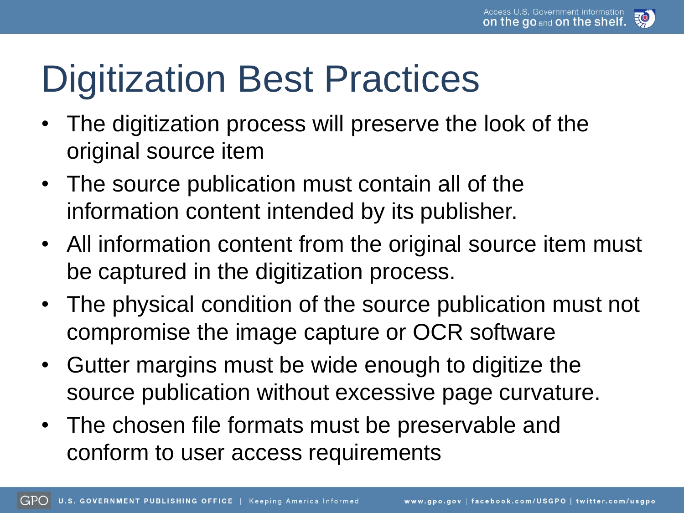![](_page_10_Picture_1.jpeg)

## Digitization Best Practices

- The digitization process will preserve the look of the original source item
- The source publication must contain all of the information content intended by its publisher.
- All information content from the original source item must be captured in the digitization process.
- The physical condition of the source publication must not compromise the image capture or OCR software
- Gutter margins must be wide enough to digitize the source publication without excessive page curvature.
- The chosen file formats must be preservable and conform to user access requirements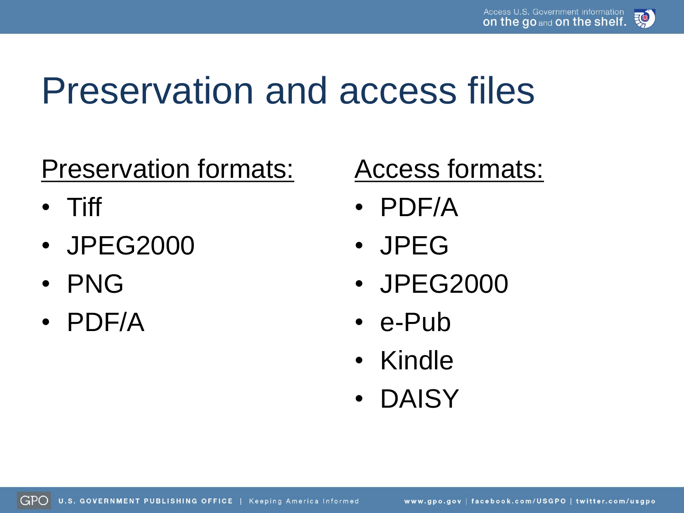![](_page_11_Picture_1.jpeg)

## Preservation and access files

### Preservation formats:

- Tiff
- JPEG2000
- PNG
- PDF/A

### Access formats:

- PDF/A
- JPEG
- JPEG2000
- e-Pub
- Kindle
- DAISY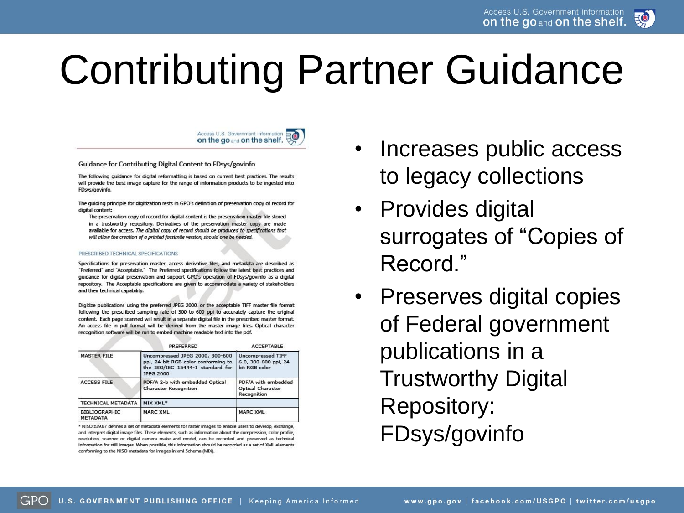![](_page_12_Picture_1.jpeg)

# Contributing Partner Guidance

![](_page_12_Picture_3.jpeg)

Guidance for Contributing Digital Content to FDsys/govinfo

The following quidance for digital reformatting is based on current best practices. The results will provide the best image capture for the range of information products to be ingested into FDsys/govinfo.

The guiding principle for digitization rests in GPO's definition of preservation copy of record for digital content:

The preservation copy of record for digital content is the preservation master file stored in a trustworthy repository. Derivatives of the preservation master copy are made available for access. The digital copy of record should be produced to specifications that will allow the creation of a printed facsimile version, should one be needed.

### PRESCRIBED TECHNICAL SPECIFICATIONS

Specifications for preservation master, access derivative files, and metadata are described as "Preferred" and "Acceptable." The Preferred specifications follow the latest best practices and guidance for digital preservation and support GPO's operation of FDsys/govinfo as a digital repository. The Acceptable specifications are given to accommodate a variety of stakeholders and their technical capability.

Digitize publications using the preferred JPEG 2000, or the acceptable TIFF master file format following the prescribed sampling rate of 300 to 600 ppi to accurately capture the original content. Each page scanned will result in a separate digital file in the prescribed master format. An access file in pdf format will be derived from the master image files. Optical character recognition software will be run to embed machine readable text into the pdf.

|                                         | <b>PREFERRED</b>                                                                                                               | <b>ACCEPTABLE</b>                                                 |  |  |  |
|-----------------------------------------|--------------------------------------------------------------------------------------------------------------------------------|-------------------------------------------------------------------|--|--|--|
| <b>MASTER FILE</b>                      | Uncompressed JPEG 2000, 300-600<br>ppi, 24 bit RGB color conforming to<br>the ISO/IEC 15444-1 standard for<br><b>JPEG 2000</b> | <b>Uncompressed TIFF</b><br>6.0, 300-600 ppi, 24<br>bit RGB color |  |  |  |
| <b>ACCESS FILE</b>                      | PDF/A 2-b with embedded Optical<br><b>Character Recognition</b>                                                                | PDF/A with embedded<br><b>Optical Character</b><br>Recognition    |  |  |  |
| <b>TECHNICAL METADATA</b>               | MIX XML*                                                                                                                       |                                                                   |  |  |  |
| <b>BIBLIOGRAPHIC</b><br><b>METADATA</b> | <b>MARC XML</b>                                                                                                                | <b>MARC XML</b>                                                   |  |  |  |

\* NISO z39.87 defines a set of metadata elements for raster images to enable users to develop, exchange, and interpret digital image files. These elements, such as information about the compression, color profile, resolution, scanner or digital camera make and model, can be recorded and preserved as technical information for still images. When possible, this information should be recorded as a set of XML elements conforming to the NISO metadata for images in xml Schema (MIX).

- Increases public access to legacy collections
- Provides digital surrogates of "Copies of Record."
- Preserves digital copies of Federal government publications in a Trustworthy Digital Repository: FDsys/govinfo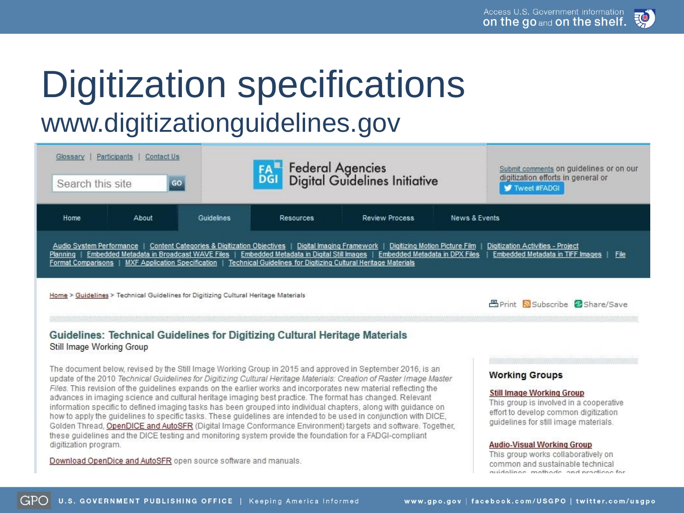![](_page_13_Picture_1.jpeg)

### Digitization specifications www.digitizationguidelines.gov

| Participants<br>Contact Us<br>Glossary<br>GO<br>Search this site                                                                                                                                                                                                                                                                                                                                                                                                                       |            | <b>FAL Federal Agencies</b><br>DGI Digital Guidelines Initiative |                       |               | Submit comments on guidelines or on our<br>digitization efforts in general or<br><b>V</b> Tweet #FADGI |  |
|----------------------------------------------------------------------------------------------------------------------------------------------------------------------------------------------------------------------------------------------------------------------------------------------------------------------------------------------------------------------------------------------------------------------------------------------------------------------------------------|------------|------------------------------------------------------------------|-----------------------|---------------|--------------------------------------------------------------------------------------------------------|--|
| Home<br>About                                                                                                                                                                                                                                                                                                                                                                                                                                                                          | Guidelines | Resources                                                        | <b>Review Process</b> | News & Events |                                                                                                        |  |
| Audio System Performance   Content Categories & Digitization Objectives   Digital Imaging Framework  <br>Digitizing Motion Picture Film<br>Digitization Activities - Project<br>Embedded Metadata in Broadcast WAVE Files   Embedded Metadata in Digital Still Images   Embedded Metadata in DPX Files<br>Embedded Metadata in TIFF Images<br>File<br>Planning<br>Format Comparisons   MXF Application Specification   Technical Guidelines for Digitizing Cultural Heritage Materials |            |                                                                  |                       |               |                                                                                                        |  |
| Home > Guidelines > Technical Guidelines for Digitizing Cultural Heritage Materials                                                                                                                                                                                                                                                                                                                                                                                                    |            |                                                                  |                       |               | <b>昌Print Subscribe © Share/Save</b>                                                                   |  |

### Guidelines: Technical Guidelines for Digitizing Cultural Heritage Materials Still Image Working Group

The document below, revised by the Still Image Working Group in 2015 and approved in September 2016, is an update of the 2010 Technical Guidelines for Digitizing Cultural Heritage Materials: Creation of Raster Image Master Files. This revision of the quidelines expands on the earlier works and incorporates new material reflecting the advances in imaging science and cultural heritage imaging best practice. The format has changed. Relevant information specific to defined imaging tasks has been grouped into individual chapters, along with guidance on how to apply the guidelines to specific tasks. These guidelines are intended to be used in conjunction with DICE, Golden Thread, OpenDICE and AutoSFR (Digital Image Conformance Environment) targets and software. Together, these quidelines and the DICE testing and monitoring system provide the foundation for a FADGI-compliant digitization program.

Download OpenDice and AutoSFR open source software and manuals.

### **Working Groups**

### **Still Image Working Group**

This group is involved in a cooperative effort to develop common digitization guidelines for still image materials.

### **Audio-Visual Working Group**

This group works collaboratively on common and sustainable technical quidolings, mothods, and practices for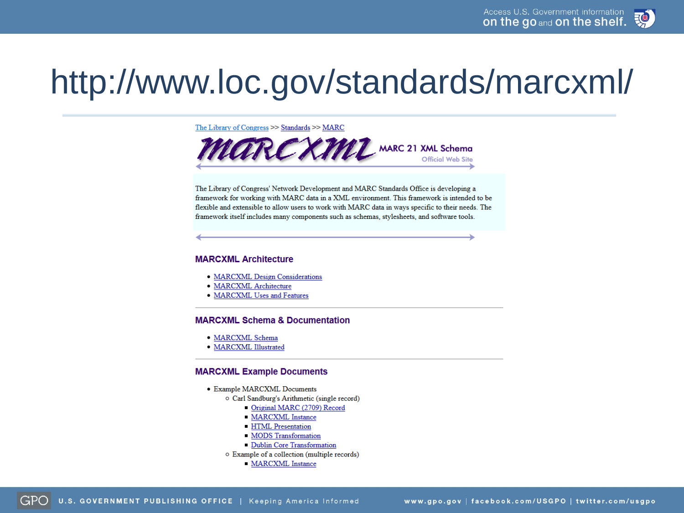![](_page_14_Picture_1.jpeg)

## http://www.loc.gov/standards/marcxml/

The Library of Congress >> Standards >> MARC

![](_page_14_Picture_4.jpeg)

The Library of Congress' Network Development and MARC Standards Office is developing a framework for working with MARC data in a XML environment. This framework is intended to be flexible and extensible to allow users to work with MARC data in ways specific to their needs. The framework itself includes many components such as schemas, stylesheets, and software tools.

### **MARCXML Architecture**

- MARCXML Design Considerations
- · MARCXML Architecture
- MARCXML Uses and Features

### **MARCXML Schema & Documentation**

- · MARCXML Schema
- · MARCXML Illustrated

### **MARCXML Example Documents**

- Example MARCXML Documents
	- o Carl Sandburg's Arithmetic (single record)
		- Original MARC (2709) Record
		- **MARCXML** Instance
		- **HTML** Presentation
		- MODS Transformation
		- Dublin Core Transformation
	- o Example of a collection (multiple records)
		- **MARCXML** Instance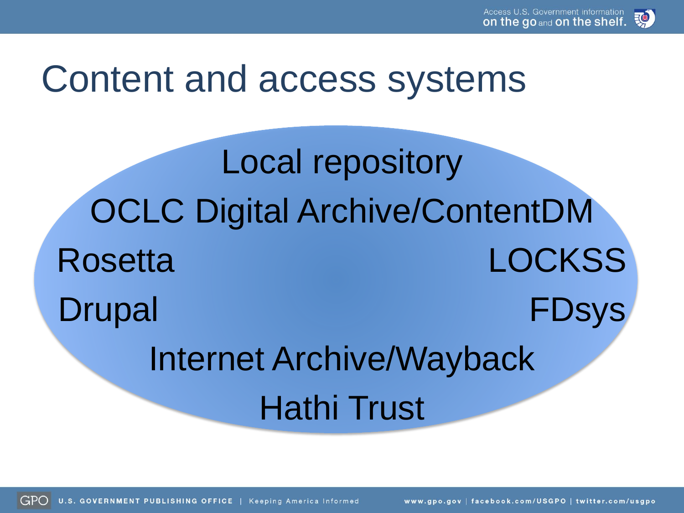![](_page_15_Picture_1.jpeg)

## Content and access systems

Local repository OCLC Digital Archive/ContentDM Rosetta LOCKSS Drupal FDsys Internet Archive/Wayback Hathi Trust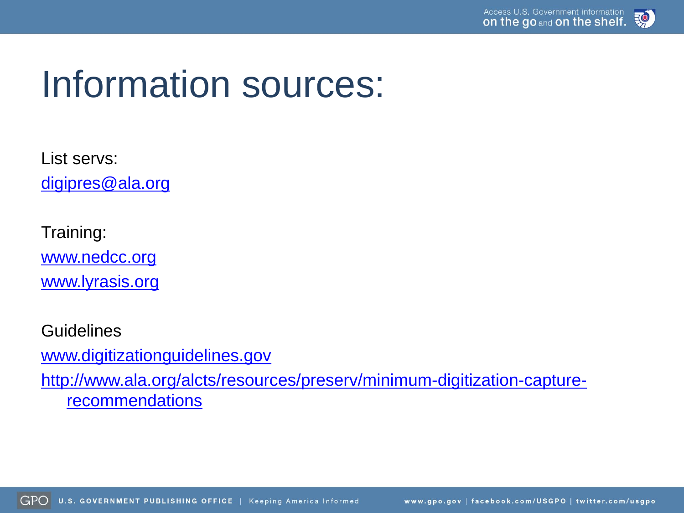## Information sources:

List servs: [digipres@ala.org](mailto:digipres@ala.org)

Training: [www.nedcc.org](http://www.nedcc.org/) [www.lyrasis.org](http://www.lyrasis.org/)

Guidelines [www.digitizationguidelines.gov](http://www.digitizationguidelines.gov/) [http://www.ala.org/alcts/resources/preserv/minimum-digitization-capture](http://www.ala.org/alcts/resources/preserv/minimum-digitization-capture-recommendations)**recommendations**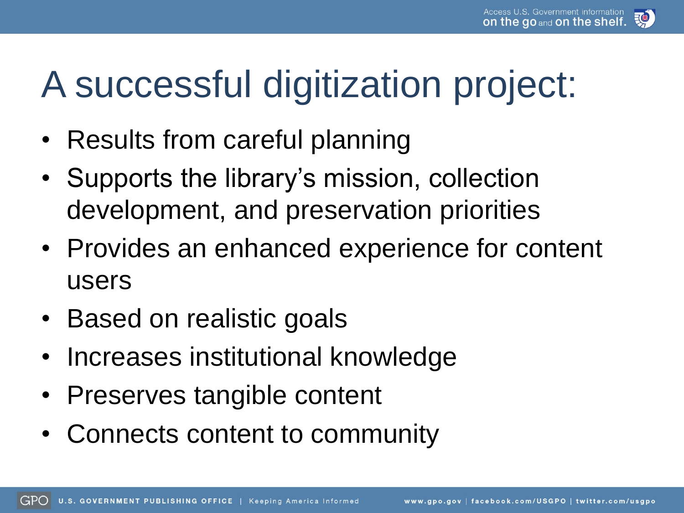## A successful digitization project:

- Results from careful planning
- Supports the library's mission, collection development, and preservation priorities
- Provides an enhanced experience for content users
- Based on realistic goals
- Increases institutional knowledge
- Preserves tangible content
- Connects content to community